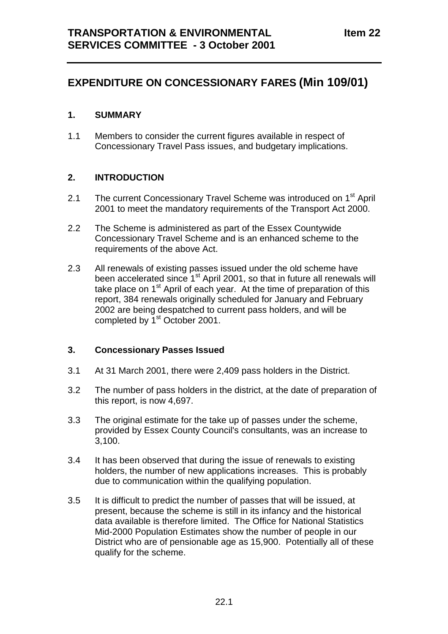# **EXPENDITURE ON CONCESSIONARY FARES (Min 109/01)**

### **1. SUMMARY**

1.1 Members to consider the current figures available in respect of Concessionary Travel Pass issues, and budgetary implications.

### **2. INTRODUCTION**

- 2.1 The current Concessionary Travel Scheme was introduced on 1<sup>st</sup> April 2001 to meet the mandatory requirements of the Transport Act 2000.
- 2.2 The Scheme is administered as part of the Essex Countywide Concessionary Travel Scheme and is an enhanced scheme to the requirements of the above Act.
- 2.3 All renewals of existing passes issued under the old scheme have been accelerated since  $1<sup>st</sup>$  April 2001, so that in future all renewals will take place on 1<sup>st</sup> April of each year. At the time of preparation of this report, 384 renewals originally scheduled for January and February 2002 are being despatched to current pass holders, and will be completed by 1<sup>st</sup> October 2001.

#### **3. Concessionary Passes Issued**

- 3.1 At 31 March 2001, there were 2,409 pass holders in the District.
- 3.2 The number of pass holders in the district, at the date of preparation of this report, is now 4,697.
- 3.3 The original estimate for the take up of passes under the scheme, provided by Essex County Council's consultants, was an increase to 3,100.
- 3.4 It has been observed that during the issue of renewals to existing holders, the number of new applications increases. This is probably due to communication within the qualifying population.
- 3.5 It is difficult to predict the number of passes that will be issued, at present, because the scheme is still in its infancy and the historical data available is therefore limited. The Office for National Statistics Mid-2000 Population Estimates show the number of people in our District who are of pensionable age as 15,900. Potentially all of these qualify for the scheme.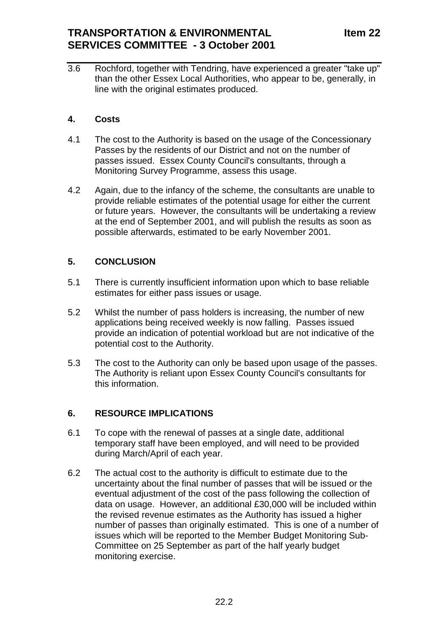3.6 Rochford, together with Tendring, have experienced a greater "take up" than the other Essex Local Authorities, who appear to be, generally, in line with the original estimates produced.

### **4. Costs**

- 4.1 The cost to the Authority is based on the usage of the Concessionary Passes by the residents of our District and not on the number of passes issued. Essex County Council's consultants, through a Monitoring Survey Programme, assess this usage.
- 4.2 Again, due to the infancy of the scheme, the consultants are unable to provide reliable estimates of the potential usage for either the current or future years. However, the consultants will be undertaking a review at the end of September 2001, and will publish the results as soon as possible afterwards, estimated to be early November 2001.

## **5. CONCLUSION**

- 5.1 There is currently insufficient information upon which to base reliable estimates for either pass issues or usage.
- 5.2 Whilst the number of pass holders is increasing, the number of new applications being received weekly is now falling. Passes issued provide an indication of potential workload but are not indicative of the potential cost to the Authority.
- 5.3 The cost to the Authority can only be based upon usage of the passes. The Authority is reliant upon Essex County Council's consultants for this information.

## **6. RESOURCE IMPLICATIONS**

- 6.1 To cope with the renewal of passes at a single date, additional temporary staff have been employed, and will need to be provided during March/April of each year.
- 6.2 The actual cost to the authority is difficult to estimate due to the uncertainty about the final number of passes that will be issued or the eventual adjustment of the cost of the pass following the collection of data on usage. However, an additional £30,000 will be included within the revised revenue estimates as the Authority has issued a higher number of passes than originally estimated. This is one of a number of issues which will be reported to the Member Budget Monitoring Sub-Committee on 25 September as part of the half yearly budget monitoring exercise.